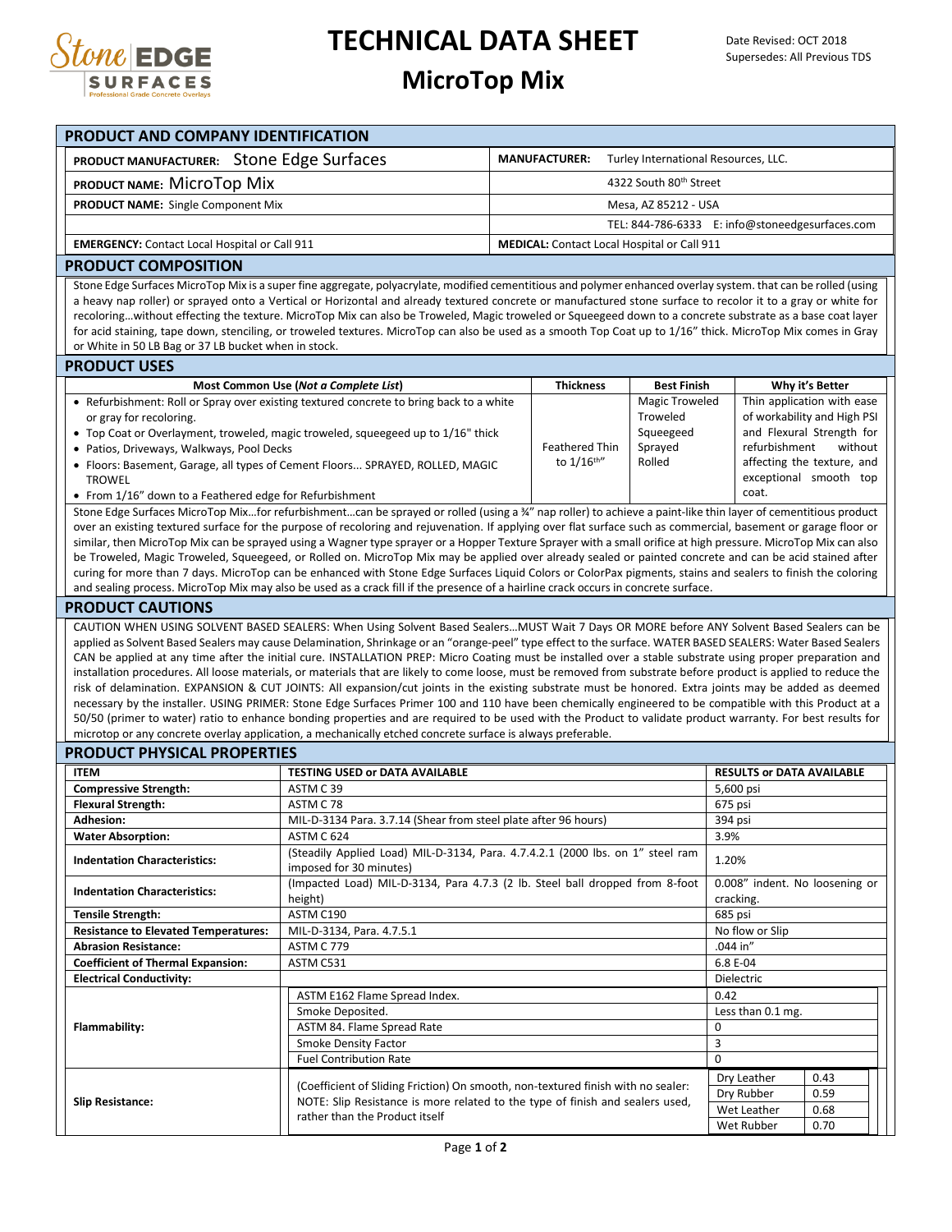

## **TECHNICAL DATA SHEET**

## **MicroTop Mix**

| PRODUCT AND COMPANY IDENTIFICATION                                                                                                                                                                                                                                                                                              |                                                                                                                                                                                                                                                                                                                                  |                       |                                                              |                       |                                                           |                            |  |  |  |  |  |
|---------------------------------------------------------------------------------------------------------------------------------------------------------------------------------------------------------------------------------------------------------------------------------------------------------------------------------|----------------------------------------------------------------------------------------------------------------------------------------------------------------------------------------------------------------------------------------------------------------------------------------------------------------------------------|-----------------------|--------------------------------------------------------------|-----------------------|-----------------------------------------------------------|----------------------------|--|--|--|--|--|
| PRODUCT MANUFACTURER: Stone Edge Surfaces                                                                                                                                                                                                                                                                                       |                                                                                                                                                                                                                                                                                                                                  |                       | <b>MANUFACTURER:</b><br>Turley International Resources, LLC. |                       |                                                           |                            |  |  |  |  |  |
| PRODUCT NAME: MICrOTOD MIX                                                                                                                                                                                                                                                                                                      |                                                                                                                                                                                                                                                                                                                                  |                       |                                                              |                       |                                                           |                            |  |  |  |  |  |
|                                                                                                                                                                                                                                                                                                                                 | 4322 South 80th Street                                                                                                                                                                                                                                                                                                           |                       |                                                              |                       |                                                           |                            |  |  |  |  |  |
| <b>PRODUCT NAME:</b> Single Component Mix                                                                                                                                                                                                                                                                                       |                                                                                                                                                                                                                                                                                                                                  | Mesa, AZ 85212 - USA  |                                                              |                       |                                                           |                            |  |  |  |  |  |
|                                                                                                                                                                                                                                                                                                                                 |                                                                                                                                                                                                                                                                                                                                  |                       |                                                              |                       | TEL: 844-786-6333 E: info@stoneedgesurfaces.com           |                            |  |  |  |  |  |
|                                                                                                                                                                                                                                                                                                                                 | <b>EMERGENCY:</b> Contact Local Hospital or Call 911<br><b>MEDICAL:</b> Contact Local Hospital or Call 911                                                                                                                                                                                                                       |                       |                                                              |                       |                                                           |                            |  |  |  |  |  |
| <b>PRODUCT COMPOSITION</b>                                                                                                                                                                                                                                                                                                      |                                                                                                                                                                                                                                                                                                                                  |                       |                                                              |                       |                                                           |                            |  |  |  |  |  |
| Stone Edge Surfaces MicroTop Mix is a super fine aggregate, polyacrylate, modified cementitious and polymer enhanced overlay system. that can be rolled (using<br>a heavy nap roller) or sprayed onto a Vertical or Horizontal and already textured concrete or manufactured stone surface to recolor it to a gray or white for |                                                                                                                                                                                                                                                                                                                                  |                       |                                                              |                       |                                                           |                            |  |  |  |  |  |
|                                                                                                                                                                                                                                                                                                                                 | recoloringwithout effecting the texture. MicroTop Mix can also be Troweled, Magic troweled or Squeegeed down to a concrete substrate as a base coat layer                                                                                                                                                                        |                       |                                                              |                       |                                                           |                            |  |  |  |  |  |
|                                                                                                                                                                                                                                                                                                                                 | for acid staining, tape down, stenciling, or troweled textures. MicroTop can also be used as a smooth Top Coat up to 1/16" thick. MicroTop Mix comes in Gray                                                                                                                                                                     |                       |                                                              |                       |                                                           |                            |  |  |  |  |  |
| or White in 50 LB Bag or 37 LB bucket when in stock.                                                                                                                                                                                                                                                                            |                                                                                                                                                                                                                                                                                                                                  |                       |                                                              |                       |                                                           |                            |  |  |  |  |  |
| <b>PRODUCT USES</b>                                                                                                                                                                                                                                                                                                             |                                                                                                                                                                                                                                                                                                                                  |                       |                                                              |                       |                                                           |                            |  |  |  |  |  |
|                                                                                                                                                                                                                                                                                                                                 | Most Common Use (Not a Complete List)                                                                                                                                                                                                                                                                                            |                       | <b>Thickness</b>                                             | <b>Best Finish</b>    |                                                           | Why it's Better            |  |  |  |  |  |
|                                                                                                                                                                                                                                                                                                                                 | • Refurbishment: Roll or Spray over existing textured concrete to bring back to a white                                                                                                                                                                                                                                          |                       |                                                              | <b>Magic Troweled</b> | Thin application with ease<br>of workability and High PSI |                            |  |  |  |  |  |
| or gray for recoloring.                                                                                                                                                                                                                                                                                                         | Troweled<br>Squeegeed<br>• Top Coat or Overlayment, troweled, magic troweled, squeegeed up to 1/16" thick                                                                                                                                                                                                                        |                       |                                                              |                       |                                                           |                            |  |  |  |  |  |
| • Patios, Driveways, Walkways, Pool Decks                                                                                                                                                                                                                                                                                       |                                                                                                                                                                                                                                                                                                                                  | <b>Feathered Thin</b> | Sprayed                                                      | refurbishment         | and Flexural Strength for<br>without                      |                            |  |  |  |  |  |
|                                                                                                                                                                                                                                                                                                                                 | • Floors: Basement, Garage, all types of Cement Floors SPRAYED, ROLLED, MAGIC                                                                                                                                                                                                                                                    |                       | to 1/16 <sup>th"</sup>                                       | Rolled                |                                                           | affecting the texture, and |  |  |  |  |  |
| <b>TROWEL</b>                                                                                                                                                                                                                                                                                                                   |                                                                                                                                                                                                                                                                                                                                  |                       |                                                              |                       | exceptional smooth top                                    |                            |  |  |  |  |  |
| • From 1/16" down to a Feathered edge for Refurbishment                                                                                                                                                                                                                                                                         |                                                                                                                                                                                                                                                                                                                                  |                       |                                                              |                       | coat.                                                     |                            |  |  |  |  |  |
|                                                                                                                                                                                                                                                                                                                                 | Stone Edge Surfaces MicroTop Mixfor refurbishmentcan be sprayed or rolled (using a 34" nap roller) to achieve a paint-like thin layer of cementitious product<br>over an existing textured surface for the purpose of recoloring and rejuvenation. If applying over flat surface such as commercial, basement or garage floor or |                       |                                                              |                       |                                                           |                            |  |  |  |  |  |
|                                                                                                                                                                                                                                                                                                                                 | similar, then MicroTop Mix can be sprayed using a Wagner type sprayer or a Hopper Texture Sprayer with a small orifice at high pressure. MicroTop Mix can also                                                                                                                                                                   |                       |                                                              |                       |                                                           |                            |  |  |  |  |  |
|                                                                                                                                                                                                                                                                                                                                 | be Troweled, Magic Troweled, Squeegeed, or Rolled on. MicroTop Mix may be applied over already sealed or painted concrete and can be acid stained after                                                                                                                                                                          |                       |                                                              |                       |                                                           |                            |  |  |  |  |  |
| curing for more than 7 days. MicroTop can be enhanced with Stone Edge Surfaces Liquid Colors or ColorPax pigments, stains and sealers to finish the coloring                                                                                                                                                                    |                                                                                                                                                                                                                                                                                                                                  |                       |                                                              |                       |                                                           |                            |  |  |  |  |  |
| and sealing process. MicroTop Mix may also be used as a crack fill if the presence of a hairline crack occurs in concrete surface.<br><b>PRODUCT CAUTIONS</b>                                                                                                                                                                   |                                                                                                                                                                                                                                                                                                                                  |                       |                                                              |                       |                                                           |                            |  |  |  |  |  |
|                                                                                                                                                                                                                                                                                                                                 |                                                                                                                                                                                                                                                                                                                                  |                       |                                                              |                       |                                                           |                            |  |  |  |  |  |
| CAUTION WHEN USING SOLVENT BASED SEALERS: When Using Solvent Based Sealers MUST Wait 7 Days OR MORE before ANY Solvent Based Sealers can be<br>applied as Solvent Based Sealers may cause Delamination, Shrinkage or an "orange-peel" type effect to the surface. WATER BASED SEALERS: Water Based Sealers                      |                                                                                                                                                                                                                                                                                                                                  |                       |                                                              |                       |                                                           |                            |  |  |  |  |  |
| CAN be applied at any time after the initial cure. INSTALLATION PREP: Micro Coating must be installed over a stable substrate using proper preparation and                                                                                                                                                                      |                                                                                                                                                                                                                                                                                                                                  |                       |                                                              |                       |                                                           |                            |  |  |  |  |  |
| installation procedures. All loose materials, or materials that are likely to come loose, must be removed from substrate before product is applied to reduce the                                                                                                                                                                |                                                                                                                                                                                                                                                                                                                                  |                       |                                                              |                       |                                                           |                            |  |  |  |  |  |
| risk of delamination. EXPANSION & CUT JOINTS: All expansion/cut joints in the existing substrate must be honored. Extra joints may be added as deemed                                                                                                                                                                           |                                                                                                                                                                                                                                                                                                                                  |                       |                                                              |                       |                                                           |                            |  |  |  |  |  |
| necessary by the installer. USING PRIMER: Stone Edge Surfaces Primer 100 and 110 have been chemically engineered to be compatible with this Product at a<br>50/50 (primer to water) ratio to enhance bonding properties and are required to be used with the Product to validate product warranty. For best results for         |                                                                                                                                                                                                                                                                                                                                  |                       |                                                              |                       |                                                           |                            |  |  |  |  |  |
|                                                                                                                                                                                                                                                                                                                                 | microtop or any concrete overlay application, a mechanically etched concrete surface is always preferable.                                                                                                                                                                                                                       |                       |                                                              |                       |                                                           |                            |  |  |  |  |  |
| <b>PRODUCT PHYSICAL PROPERTIES</b>                                                                                                                                                                                                                                                                                              |                                                                                                                                                                                                                                                                                                                                  |                       |                                                              |                       |                                                           |                            |  |  |  |  |  |
| <b>ITEM</b>                                                                                                                                                                                                                                                                                                                     | <b>TESTING USED or DATA AVAILABLE</b>                                                                                                                                                                                                                                                                                            |                       |                                                              |                       | <b>RESULTS or DATA AVAILABLE</b>                          |                            |  |  |  |  |  |
| <b>Compressive Strength:</b>                                                                                                                                                                                                                                                                                                    | ASTM C39                                                                                                                                                                                                                                                                                                                         |                       |                                                              |                       |                                                           | 5,600 psi                  |  |  |  |  |  |
| <b>Flexural Strength:</b>                                                                                                                                                                                                                                                                                                       | ASTM C 78                                                                                                                                                                                                                                                                                                                        |                       | 675 psi                                                      |                       |                                                           |                            |  |  |  |  |  |
| <b>Adhesion:</b><br><b>Water Absorption:</b>                                                                                                                                                                                                                                                                                    | MIL-D-3134 Para. 3.7.14 (Shear from steel plate after 96 hours)<br>ASTM C 624                                                                                                                                                                                                                                                    |                       | 394 psi<br>3.9%                                              |                       |                                                           |                            |  |  |  |  |  |
|                                                                                                                                                                                                                                                                                                                                 | (Steadily Applied Load) MIL-D-3134, Para. 4.7.4.2.1 (2000 lbs. on 1" steel ram                                                                                                                                                                                                                                                   |                       |                                                              |                       |                                                           |                            |  |  |  |  |  |
| <b>Indentation Characteristics:</b>                                                                                                                                                                                                                                                                                             | imposed for 30 minutes)                                                                                                                                                                                                                                                                                                          |                       | 1.20%                                                        |                       |                                                           |                            |  |  |  |  |  |
| <b>Indentation Characteristics:</b>                                                                                                                                                                                                                                                                                             | (Impacted Load) MIL-D-3134, Para 4.7.3 (2 lb. Steel ball dropped from 8-foot                                                                                                                                                                                                                                                     |                       | 0.008" indent. No loosening or                               |                       |                                                           |                            |  |  |  |  |  |
|                                                                                                                                                                                                                                                                                                                                 | height)                                                                                                                                                                                                                                                                                                                          |                       |                                                              |                       | cracking.<br>685 psi                                      |                            |  |  |  |  |  |
| <b>Tensile Strength:</b><br><b>Resistance to Elevated Temperatures:</b>                                                                                                                                                                                                                                                         | ASTM C190<br>MIL-D-3134, Para. 4.7.5.1                                                                                                                                                                                                                                                                                           |                       |                                                              |                       | No flow or Slip                                           |                            |  |  |  |  |  |
| <b>Abrasion Resistance:</b>                                                                                                                                                                                                                                                                                                     | ASTM C 779                                                                                                                                                                                                                                                                                                                       |                       | .044 in"                                                     |                       |                                                           |                            |  |  |  |  |  |
| <b>Coefficient of Thermal Expansion:</b>                                                                                                                                                                                                                                                                                        | ASTM C531                                                                                                                                                                                                                                                                                                                        |                       | 6.8 E-04                                                     |                       |                                                           |                            |  |  |  |  |  |
| <b>Electrical Conductivity:</b>                                                                                                                                                                                                                                                                                                 |                                                                                                                                                                                                                                                                                                                                  |                       | Dielectric                                                   |                       |                                                           |                            |  |  |  |  |  |
| Flammability:                                                                                                                                                                                                                                                                                                                   | ASTM E162 Flame Spread Index.                                                                                                                                                                                                                                                                                                    | 0.42                  |                                                              |                       |                                                           |                            |  |  |  |  |  |
|                                                                                                                                                                                                                                                                                                                                 | Smoke Deposited.<br>ASTM 84. Flame Spread Rate                                                                                                                                                                                                                                                                                   |                       | Less than 0.1 mg.<br>$\mathbf 0$                             |                       |                                                           |                            |  |  |  |  |  |
|                                                                                                                                                                                                                                                                                                                                 | Smoke Density Factor                                                                                                                                                                                                                                                                                                             |                       | 3                                                            |                       |                                                           |                            |  |  |  |  |  |
|                                                                                                                                                                                                                                                                                                                                 | <b>Fuel Contribution Rate</b>                                                                                                                                                                                                                                                                                                    |                       |                                                              |                       | $\mathbf 0$                                               |                            |  |  |  |  |  |
| <b>Slip Resistance:</b>                                                                                                                                                                                                                                                                                                         | (Coefficient of Sliding Friction) On smooth, non-textured finish with no sealer:                                                                                                                                                                                                                                                 |                       |                                                              |                       | Dry Leather                                               | 0.43                       |  |  |  |  |  |
|                                                                                                                                                                                                                                                                                                                                 | NOTE: Slip Resistance is more related to the type of finish and sealers used,                                                                                                                                                                                                                                                    | Dry Rubber            | 0.59                                                         |                       |                                                           |                            |  |  |  |  |  |
|                                                                                                                                                                                                                                                                                                                                 | rather than the Product itself                                                                                                                                                                                                                                                                                                   |                       |                                                              |                       | Wet Leather                                               | 0.68                       |  |  |  |  |  |
|                                                                                                                                                                                                                                                                                                                                 |                                                                                                                                                                                                                                                                                                                                  | Wet Rubber            | 0.70                                                         |                       |                                                           |                            |  |  |  |  |  |